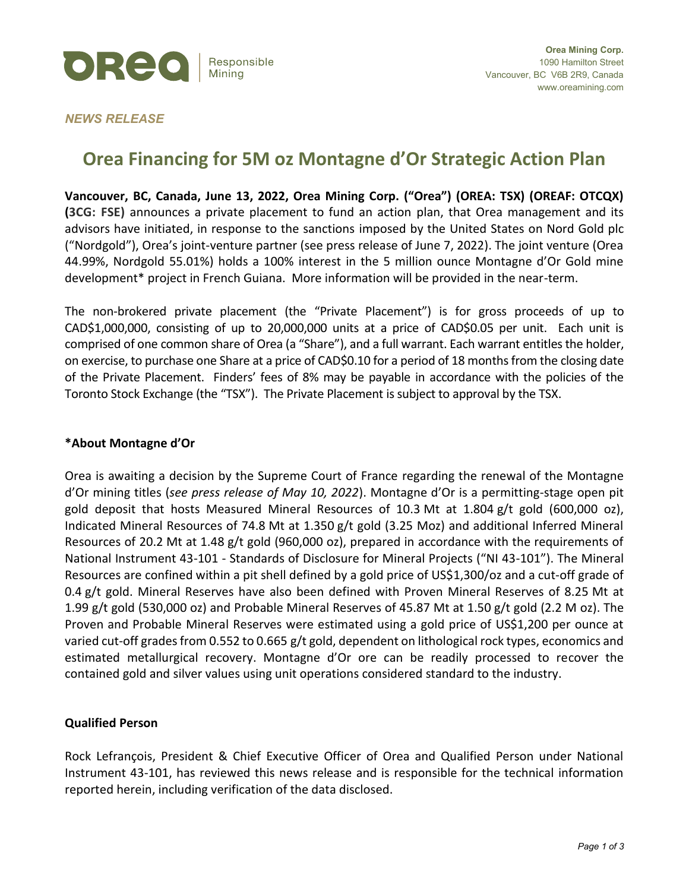

## *NEWS RELEASE*

# **Orea Financing for 5M oz Montagne d'Or Strategic Action Plan**

**Vancouver, BC, Canada, June 13, 2022, Orea Mining Corp. ("Orea") (OREA: TSX) (OREAF: OTCQX) (3CG: FSE)** announces a private placement to fund an action plan, that Orea management and its advisors have initiated, in response to the sanctions imposed by the United States on Nord Gold plc ("Nordgold"), Orea's joint-venture partner (see press release of June 7, 2022). The joint venture (Orea 44.99%, Nordgold 55.01%) holds a 100% interest in the 5 million ounce Montagne d'Or Gold mine development\* project in French Guiana. More information will be provided in the near-term.

The non-brokered private placement (the "Private Placement") is for gross proceeds of up to CAD\$1,000,000, consisting of up to 20,000,000 units at a price of CAD\$0.05 per unit. Each unit is comprised of one common share of Orea (a "Share"), and a full warrant. Each warrant entitles the holder, on exercise, to purchase one Share at a price of CAD\$0.10 for a period of 18 months from the closing date of the Private Placement. Finders' fees of 8% may be payable in accordance with the policies of the Toronto Stock Exchange (the "TSX"). The Private Placement is subject to approval by the TSX.

## **\*About Montagne d'Or**

Orea is awaiting a decision by the Supreme Court of France regarding the renewal of the Montagne d'Or mining titles (*see press release of May 10, 2022*). Montagne d'Or is a permitting-stage open pit gold deposit that hosts Measured Mineral Resources of 10.3 Mt at 1.804 g/t gold (600,000 oz), Indicated Mineral Resources of 74.8 Mt at 1.350 g/t gold (3.25 Moz) and additional Inferred Mineral Resources of 20.2 Mt at 1.48 g/t gold (960,000 oz), prepared in accordance with the requirements of National Instrument 43-101 - Standards of Disclosure for Mineral Projects ("NI 43-101"). The Mineral Resources are confined within a pit shell defined by a gold price of US\$1,300/oz and a cut-off grade of 0.4 g/t gold. Mineral Reserves have also been defined with Proven Mineral Reserves of 8.25 Mt at 1.99 g/t gold (530,000 oz) and Probable Mineral Reserves of 45.87 Mt at 1.50 g/t gold (2.2 M oz). The Proven and Probable Mineral Reserves were estimated using a gold price of US\$1,200 per ounce at varied cut-off grades from 0.552 to 0.665 g/t gold, dependent on lithological rock types, economics and estimated metallurgical recovery. Montagne d'Or ore can be readily processed to recover the contained gold and silver values using unit operations considered standard to the industry.

## **Qualified Person**

Rock Lefrançois, President & Chief Executive Officer of Orea and Qualified Person under National Instrument 43-101, has reviewed this news release and is responsible for the technical information reported herein, including verification of the data disclosed.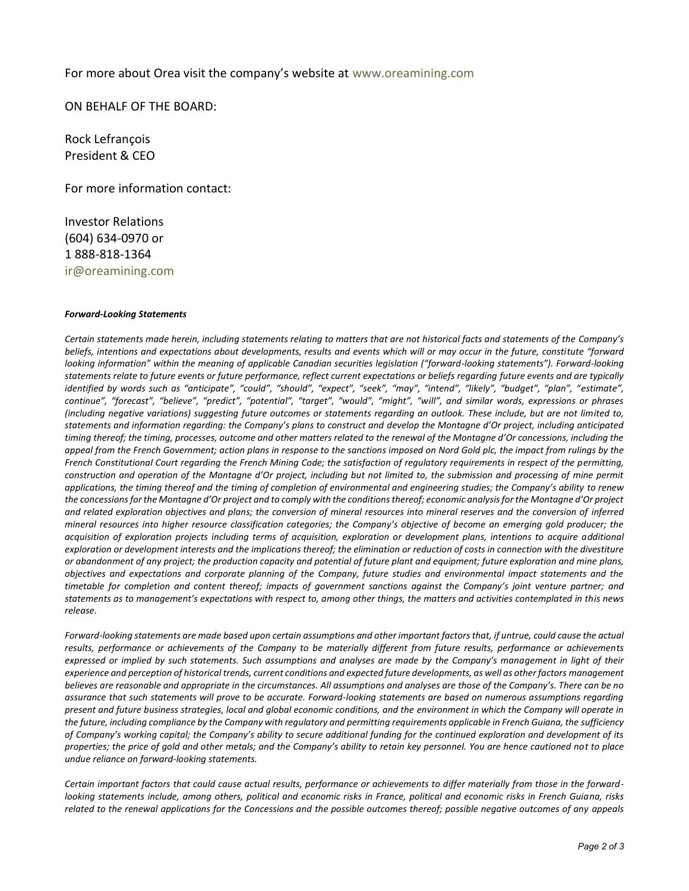#### For more about Orea visit the company's website at www.oreamining.com

ON BEHALF OF THE BOARD:

Rock Lefrançois President & CEO

For more information contact:

Investor Relations (604) 634-0970 or 1 888-818-1364 ir@oreamining.com

#### *Forward-Looking Statements*

*Certain statements made herein, including statements relating to matters that are not historical facts and statements of the Company's beliefs, intentions and expectations about developments, results and events which will or may occur in the future, constitute "forward looking information" within the meaning of applicable Canadian securities legislation ("forward-looking statements"). Forward-looking statements relate to future events or future performance, reflect current expectations or beliefs regarding future events and are typically identified by words such as "anticipate", "could", "should", "expect", "seek", "may", "intend", "likely", "budget", "plan", "estimate", continue", "forecast", "believe", "predict", "potential", "target", "would", "might", "will", and similar words, expressions or phrases (including negative variations) suggesting future outcomes or statements regarding an outlook. These include, but are not limited to, statements and information regarding: the Company's plans to construct and develop the Montagne d'Or project, including anticipated timing thereof; the timing, processes, outcome and other matters related to the renewal of the Montagne d'Or concessions, including the appeal from the French Government; action plans in response to the sanctions imposed on Nord Gold plc, the impact from rulings by the French Constitutional Court regarding the French Mining Code; the satisfaction of regulatory requirements in respect of the permitting, construction and operation of the Montagne d'Or project, including but not limited to, the submission and processing of mine permit applications, the timing thereof and the timing of completion of environmental and engineering studies; the Company's ability to renew the concessions for the Montagne d'Or project and to comply with the conditions thereof; economic analysis for the Montagne d'Or project and related exploration objectives and plans; the conversion of mineral resources into mineral reserves and the conversion of inferred mineral resources into higher resource classification categories; the Company's objective of become an emerging gold producer; the acquisition of exploration projects including terms of acquisition, exploration or development plans, intentions to acquire additional exploration or development interests and the implications thereof; the elimination or reduction of costs in connection with the divestiture or abandonment of any project; the production capacity and potential of future plant and equipment; future exploration and mine plans, objectives and expectations and corporate planning of the Company, future studies and environmental impact statements and the timetable for completion and content thereof; impacts of government sanctions against the Company's joint venture partner; and statements as to management's expectations with respect to, among other things, the matters and activities contemplated in this news release.*

*Forward-looking statements are made based upon certain assumptions and other important factors that, if untrue, could cause the actual results, performance or achievements of the Company to be materially different from future results, performance or achievements expressed or implied by such statements. Such assumptions and analyses are made by the Company's management in light of their experience and perception of historical trends, current conditions and expected future developments, as well as other factors management believes are reasonable and appropriate in the circumstances. All assumptions and analyses are those of the Company's. There can be no assurance that such statements will prove to be accurate. Forward-looking statements are based on numerous assumptions regarding present and future business strategies, local and global economic conditions, and the environment in which the Company will operate in the future, including compliance by the Company with regulatory and permitting requirements applicable in French Guiana, the sufficiency of Company's working capital; the Company's ability to secure additional funding for the continued exploration and development of its properties; the price of gold and other metals; and the Company's ability to retain key personnel. You are hence cautioned not to place undue reliance on forward-looking statements.*

*Certain important factors that could cause actual results, performance or achievements to differ materially from those in the forward*looking statements include, among others, political and economic risks in France, political and economic risks in French Guiana, risks *related to the renewal applications for the Concessions and the possible outcomes thereof; possible negative outcomes of any appeals*